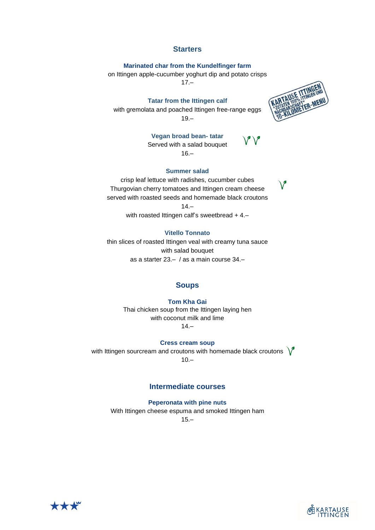### **Starters**

### **Marinated char from the Kundelfinger farm**

on Ittingen apple-cucumber yoghurt dip and potato crisps

 $17.–$ 

#### **Tatar from the Ittingen calf**

with gremolata and poached Ittingen free-range eggs  $19 -$ 



## **Vegan broad bean- tatar**

Served with a salad bouquet 16.–

#### **Summer salad**



with roasted Ittingen calf's sweetbread + 4.-

## **Vitello Tonnato**

thin slices of roasted Ittingen veal with creamy tuna sauce with salad bouquet as a starter 23.– / as a main course 34.–

## **Soups**

**Tom Kha Gai** Thai chicken soup from the Ittingen laying hen with coconut milk and lime 14.–

**Cress cream soup**

with Ittingen sourcream and croutons with homemade black croutons  $\sqrt{\phantom{a}}$ 

 $10 -$ 

# **Intermediate courses**

**Peperonata with pine nuts** With Ittingen cheese espuma and smoked Ittingen ham  $15 -$ 





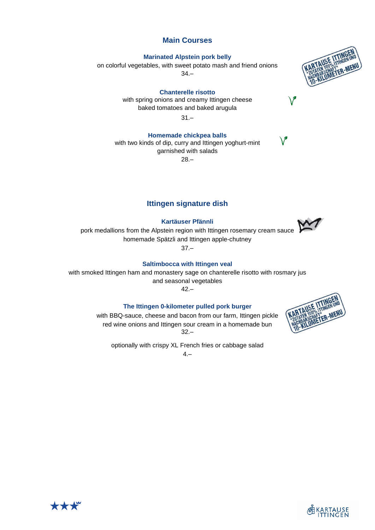# **Main Courses**

#### **Marinated Alpstein pork belly**

on colorful vegetables, with sweet potato mash and friend onions 34.–

**Chanterelle risotto** with spring onions and creamy Ittingen cheese baked tomatoes and baked arugula

31.–

**Homemade chickpea balls** with two kinds of dip, curry and Ittingen yoghurt-mint garnished with salads 28.–

# **Ittingen signature dish**

**Kartäuser Pfännli**

pork medallions from the Alpstein region with Ittingen rosemary cream sauce homemade Spätzli and Ittingen apple-chutney

 $37 -$ 

# **Saltimbocca with Ittingen veal**

with smoked Ittingen ham and monastery sage on chanterelle risotto with rosmary jus and seasonal vegetables

42.–

### **The Ittingen 0-kilometer pulled pork burger**

with BBQ-sauce, cheese and bacon from our farm, Ittingen pickle red wine onions and Ittingen sour cream in a homemade bun 32.–

optionally with crispy XL French fries or cabbage salad

 $4 -$ 









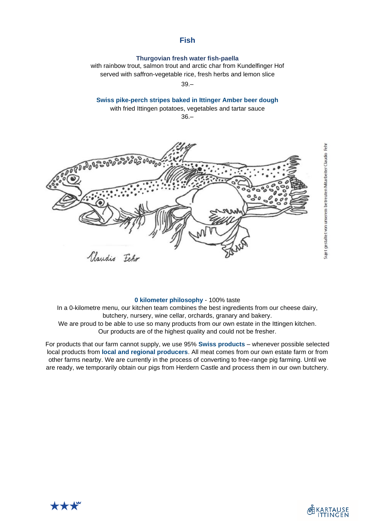# **Fish**

### **Thurgovian fresh water fish-paella**

with rainbow trout, salmon trout and arctic char from Kundelfinger Hof served with saffron-vegetable rice, fresh herbs and lemon slice

39.–

### **Swiss pike-perch stripes baked in Ittinger Amber beer dough**

with fried Ittingen potatoes, vegetables and tartar sauce

36.–



#### **0 kilometer philosophy** - 100% taste

In a 0-kilometre menu, our kitchen team combines the best ingredients from our cheese dairy, butchery, nursery, wine cellar, orchards, granary and bakery. We are proud to be able to use so many products from our own estate in the Ittingen kitchen. Our products are of the highest quality and could not be fresher.

For products that our farm cannot supply, we use 95% **Swiss products** – whenever possible selected local products from **local and regional producers**. All meat comes from our own estate farm or from other farms nearby. We are currently in the process of converting to free-range pig farming. Until we are ready, we temporarily obtain our pigs from Herdern Castle and process them in our own butchery.